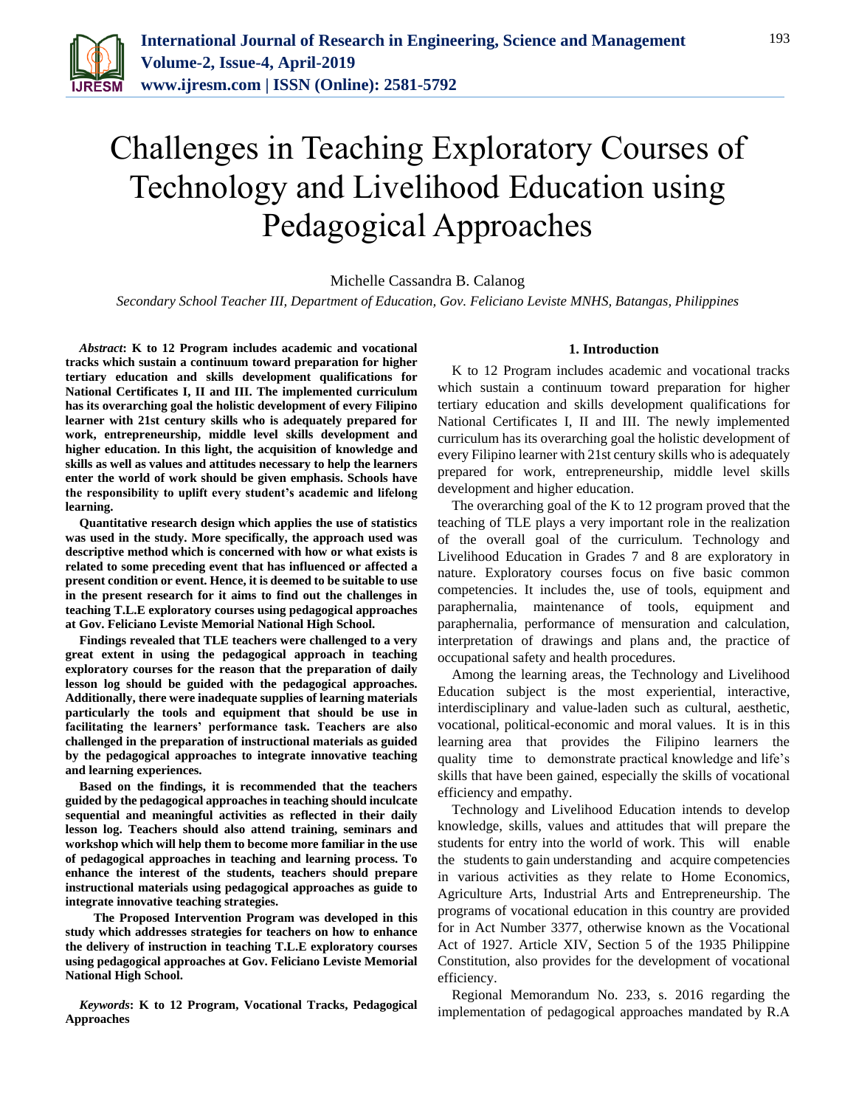

# Challenges in Teaching Exploratory Courses of Technology and Livelihood Education using Pedagogical Approaches

# Michelle Cassandra B. Calanog

*Secondary School Teacher III, Department of Education, Gov. Feliciano Leviste MNHS, Batangas, Philippines*

*Abstract***: K to 12 Program includes academic and vocational tracks which sustain a continuum toward preparation for higher tertiary education and skills development qualifications for National Certificates I, II and III. The implemented curriculum has its overarching goal the holistic development of every Filipino learner with 21st century skills who is adequately prepared for work, entrepreneurship, middle level skills development and higher education. In this light, the acquisition of knowledge and skills as well as values and attitudes necessary to help the learners enter the world of work should be given emphasis. Schools have the responsibility to uplift every student's academic and lifelong learning.** 

**Quantitative research design which applies the use of statistics was used in the study. More specifically, the approach used was descriptive method which is concerned with how or what exists is related to some preceding event that has influenced or affected a present condition or event. Hence, it is deemed to be suitable to use in the present research for it aims to find out the challenges in teaching T.L.E exploratory courses using pedagogical approaches at Gov. Feliciano Leviste Memorial National High School.**

**Findings revealed that TLE teachers were challenged to a very great extent in using the pedagogical approach in teaching exploratory courses for the reason that the preparation of daily lesson log should be guided with the pedagogical approaches. Additionally, there were inadequate supplies of learning materials particularly the tools and equipment that should be use in facilitating the learners' performance task. Teachers are also challenged in the preparation of instructional materials as guided by the pedagogical approaches to integrate innovative teaching and learning experiences.**

**Based on the findings, it is recommended that the teachers guided by the pedagogical approaches in teaching should inculcate sequential and meaningful activities as reflected in their daily lesson log. Teachers should also attend training, seminars and workshop which will help them to become more familiar in the use of pedagogical approaches in teaching and learning process. To enhance the interest of the students, teachers should prepare instructional materials using pedagogical approaches as guide to integrate innovative teaching strategies.**

**The Proposed Intervention Program was developed in this study which addresses strategies for teachers on how to enhance the delivery of instruction in teaching T.L.E exploratory courses using pedagogical approaches at Gov. Feliciano Leviste Memorial National High School.**

*Keywords***: K to 12 Program, Vocational Tracks, Pedagogical Approaches**

## **1. Introduction**

K to 12 Program includes academic and vocational tracks which sustain a continuum toward preparation for higher tertiary education and skills development qualifications for National Certificates I, II and III. The newly implemented curriculum has its overarching goal the holistic development of every Filipino learner with 21st century skills who is adequately prepared for work, entrepreneurship, middle level skills development and higher education.

The overarching goal of the K to 12 program proved that the teaching of TLE plays a very important role in the realization of the overall goal of the curriculum. Technology and Livelihood Education in Grades 7 and 8 are exploratory in nature. Exploratory courses focus on five basic common competencies. It includes the, use of tools, equipment and paraphernalia, maintenance of tools, equipment and paraphernalia, performance of mensuration and calculation, interpretation of drawings and plans and, the practice of occupational safety and health procedures.

Among the learning areas, the Technology and Livelihood Education subject is the most experiential, interactive, interdisciplinary and value-laden such as cultural, aesthetic, vocational, political-economic and moral values. It is in this learning area that provides the Filipino learners the quality time to demonstrate practical knowledge and life's skills that have been gained, especially the skills of vocational efficiency and empathy.

Technology and Livelihood Education intends to develop knowledge, skills, values and attitudes that will prepare the students for entry into the world of work. This will enable the students to gain understanding and acquire competencies in various activities as they relate to Home Economics, Agriculture Arts, Industrial Arts and Entrepreneurship. The programs of vocational education in this country are provided for in Act Number 3377, otherwise known as the Vocational Act of 1927. Article XIV, Section 5 of the 1935 Philippine Constitution, also provides for the development of vocational efficiency.

Regional Memorandum No. 233, s. 2016 regarding the implementation of pedagogical approaches mandated by R.A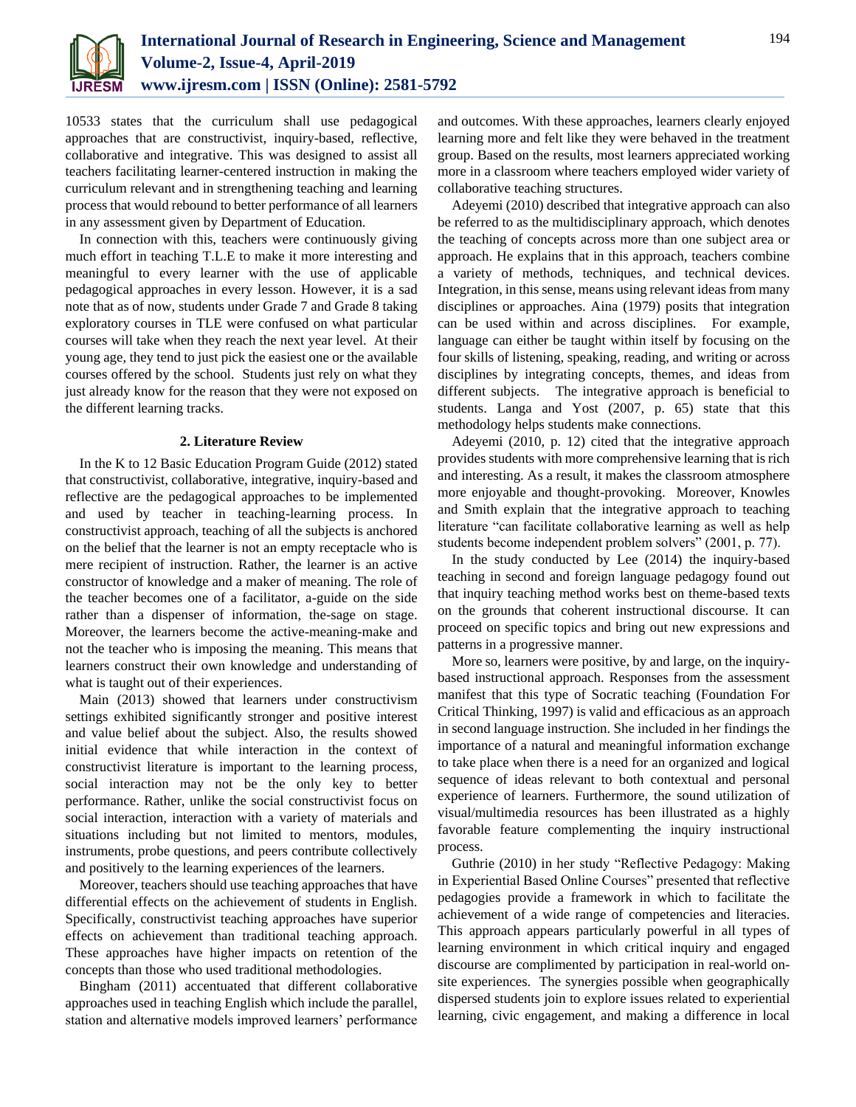

10533 states that the curriculum shall use pedagogical approaches that are constructivist, inquiry-based, reflective, collaborative and integrative. This was designed to assist all teachers facilitating learner-centered instruction in making the curriculum relevant and in strengthening teaching and learning process that would rebound to better performance of all learners in any assessment given by Department of Education.

In connection with this, teachers were continuously giving much effort in teaching T.L.E to make it more interesting and meaningful to every learner with the use of applicable pedagogical approaches in every lesson. However, it is a sad note that as of now, students under Grade 7 and Grade 8 taking exploratory courses in TLE were confused on what particular courses will take when they reach the next year level. At their young age, they tend to just pick the easiest one or the available courses offered by the school. Students just rely on what they just already know for the reason that they were not exposed on the different learning tracks.

### **2. Literature Review**

In the K to 12 Basic Education Program Guide (2012) stated that constructivist, collaborative, integrative, inquiry-based and reflective are the pedagogical approaches to be implemented and used by teacher in teaching-learning process. In constructivist approach, teaching of all the subjects is anchored on the belief that the learner is not an empty receptacle who is mere recipient of instruction. Rather, the learner is an active constructor of knowledge and a maker of meaning. The role of the teacher becomes one of a facilitator, a-guide on the side rather than a dispenser of information, the-sage on stage. Moreover, the learners become the active-meaning-make and not the teacher who is imposing the meaning. This means that learners construct their own knowledge and understanding of what is taught out of their experiences.

Main (2013) showed that learners under constructivism settings exhibited significantly stronger and positive interest and value belief about the subject. Also, the results showed initial evidence that while interaction in the context of constructivist literature is important to the learning process, social interaction may not be the only key to better performance. Rather, unlike the social constructivist focus on social interaction, interaction with a variety of materials and situations including but not limited to mentors, modules, instruments, probe questions, and peers contribute collectively and positively to the learning experiences of the learners.

Moreover, teachers should use teaching approaches that have differential effects on the achievement of students in English. Specifically, constructivist teaching approaches have superior effects on achievement than traditional teaching approach. These approaches have higher impacts on retention of the concepts than those who used traditional methodologies.

Bingham (2011) accentuated that different collaborative approaches used in teaching English which include the parallel, station and alternative models improved learners' performance

and outcomes. With these approaches, learners clearly enjoyed learning more and felt like they were behaved in the treatment group. Based on the results, most learners appreciated working more in a classroom where teachers employed wider variety of collaborative teaching structures.

Adeyemi (2010) described that integrative approach can also be referred to as the multidisciplinary approach, which denotes the teaching of concepts across more than one subject area or approach. He explains that in this approach, teachers combine a variety of methods, techniques, and technical devices. Integration, in this sense, means using relevant ideas from many disciplines or approaches. Aina (1979) posits that integration can be used within and across disciplines. For example, language can either be taught within itself by focusing on the four skills of listening, speaking, reading, and writing or across disciplines by integrating concepts, themes, and ideas from different subjects. The integrative approach is beneficial to students. Langa and Yost (2007, p. 65) state that this methodology helps students make connections.

Adeyemi (2010, p. 12) cited that the integrative approach provides students with more comprehensive learning that is rich and interesting. As a result, it makes the classroom atmosphere more enjoyable and thought-provoking. Moreover, Knowles and Smith explain that the integrative approach to teaching literature "can facilitate collaborative learning as well as help students become independent problem solvers" (2001, p. 77).

In the study conducted by Lee (2014) the inquiry-based teaching in second and foreign language pedagogy found out that inquiry teaching method works best on theme-based texts on the grounds that coherent instructional discourse. It can proceed on specific topics and bring out new expressions and patterns in a progressive manner.

More so, learners were positive, by and large, on the inquirybased instructional approach. Responses from the assessment manifest that this type of Socratic teaching (Foundation For Critical Thinking, 1997) is valid and efficacious as an approach in second language instruction. She included in her findings the importance of a natural and meaningful information exchange to take place when there is a need for an organized and logical sequence of ideas relevant to both contextual and personal experience of learners. Furthermore, the sound utilization of visual/multimedia resources has been illustrated as a highly favorable feature complementing the inquiry instructional process.

Guthrie (2010) in her study "Reflective Pedagogy: Making in Experiential Based Online Courses" presented that reflective pedagogies provide a framework in which to facilitate the achievement of a wide range of competencies and literacies. This approach appears particularly powerful in all types of learning environment in which critical inquiry and engaged discourse are complimented by participation in real-world onsite experiences. The synergies possible when geographically dispersed students join to explore issues related to experiential learning, civic engagement, and making a difference in local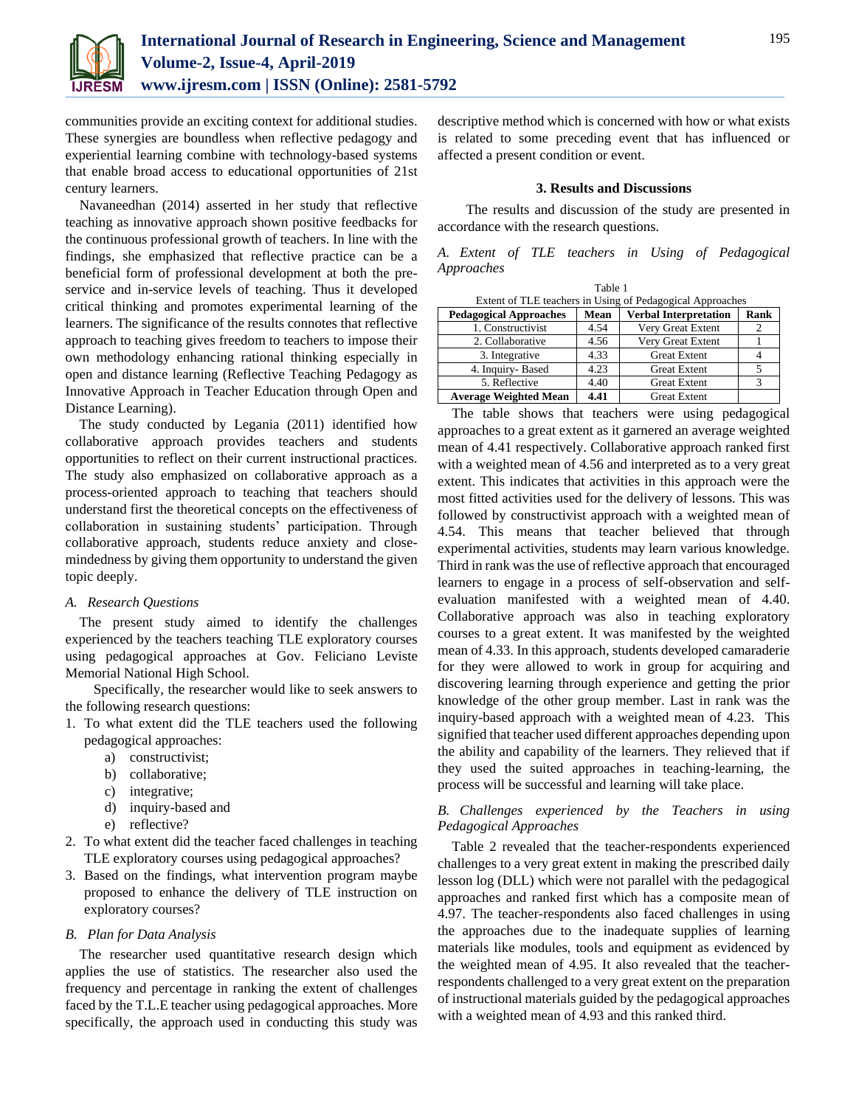

communities provide an exciting context for additional studies. These synergies are boundless when reflective pedagogy and experiential learning combine with technology-based systems that enable broad access to educational opportunities of 21st century learners.

Navaneedhan (2014) asserted in her study that reflective teaching as innovative approach shown positive feedbacks for the continuous professional growth of teachers. In line with the findings, she emphasized that reflective practice can be a beneficial form of professional development at both the preservice and in-service levels of teaching. Thus it developed critical thinking and promotes experimental learning of the learners. The significance of the results connotes that reflective approach to teaching gives freedom to teachers to impose their own methodology enhancing rational thinking especially in open and distance learning (Reflective Teaching Pedagogy as Innovative Approach in Teacher Education through Open and Distance Learning).

The study conducted by Legania (2011) identified how collaborative approach provides teachers and students opportunities to reflect on their current instructional practices. The study also emphasized on collaborative approach as a process-oriented approach to teaching that teachers should understand first the theoretical concepts on the effectiveness of collaboration in sustaining students' participation. Through collaborative approach, students reduce anxiety and closemindedness by giving them opportunity to understand the given topic deeply.

## *A. Research Questions*

The present study aimed to identify the challenges experienced by the teachers teaching TLE exploratory courses using pedagogical approaches at Gov. Feliciano Leviste Memorial National High School.

Specifically, the researcher would like to seek answers to the following research questions:

- 1. To what extent did the TLE teachers used the following pedagogical approaches:
	- a) constructivist;
	- b) collaborative;
	- c) integrative;
	- d) inquiry-based and
	- e) reflective?
- 2. To what extent did the teacher faced challenges in teaching TLE exploratory courses using pedagogical approaches?
- 3. Based on the findings, what intervention program maybe proposed to enhance the delivery of TLE instruction on exploratory courses?

# *B. Plan for Data Analysis*

The researcher used quantitative research design which applies the use of statistics. The researcher also used the frequency and percentage in ranking the extent of challenges faced by the T.L.E teacher using pedagogical approaches. More specifically, the approach used in conducting this study was descriptive method which is concerned with how or what exists is related to some preceding event that has influenced or affected a present condition or event.

## **3. Results and Discussions**

The results and discussion of the study are presented in accordance with the research questions.

|            |  |  |  | A. Extent of TLE teachers in Using of Pedagogical |
|------------|--|--|--|---------------------------------------------------|
| Approaches |  |  |  |                                                   |

| Table 1                                                   |      |                              |      |  |  |
|-----------------------------------------------------------|------|------------------------------|------|--|--|
| Extent of TLE teachers in Using of Pedagogical Approaches |      |                              |      |  |  |
| <b>Pedagogical Approaches</b>                             | Mean | <b>Verbal Interpretation</b> | Rank |  |  |
| 1. Constructivist                                         | 4.54 | Very Great Extent            | 2    |  |  |
| 2. Collaborative                                          | 4.56 | Very Great Extent            |      |  |  |
| 3. Integrative                                            | 4.33 | <b>Great Extent</b>          |      |  |  |
| 4. Inquiry-Based                                          | 4.23 | <b>Great Extent</b>          |      |  |  |
| 5. Reflective                                             | 4.40 | <b>Great Extent</b>          | 3    |  |  |
| <b>Average Weighted Mean</b>                              | 4.41 | <b>Great Extent</b>          |      |  |  |

The table shows that teachers were using pedagogical approaches to a great extent as it garnered an average weighted mean of 4.41 respectively. Collaborative approach ranked first with a weighted mean of 4.56 and interpreted as to a very great extent. This indicates that activities in this approach were the most fitted activities used for the delivery of lessons. This was followed by constructivist approach with a weighted mean of 4.54. This means that teacher believed that through experimental activities, students may learn various knowledge. Third in rank was the use of reflective approach that encouraged learners to engage in a process of self-observation and selfevaluation manifested with a weighted mean of 4.40. Collaborative approach was also in teaching exploratory courses to a great extent. It was manifested by the weighted mean of 4.33. In this approach, students developed camaraderie for they were allowed to work in group for acquiring and discovering learning through experience and getting the prior knowledge of the other group member. Last in rank was the inquiry-based approach with a weighted mean of 4.23. This signified that teacher used different approaches depending upon the ability and capability of the learners. They relieved that if they used the suited approaches in teaching-learning, the process will be successful and learning will take place.

# *B. Challenges experienced by the Teachers in using Pedagogical Approaches*

Table 2 revealed that the teacher-respondents experienced challenges to a very great extent in making the prescribed daily lesson log (DLL) which were not parallel with the pedagogical approaches and ranked first which has a composite mean of 4.97. The teacher-respondents also faced challenges in using the approaches due to the inadequate supplies of learning materials like modules, tools and equipment as evidenced by the weighted mean of 4.95. It also revealed that the teacherrespondents challenged to a very great extent on the preparation of instructional materials guided by the pedagogical approaches with a weighted mean of 4.93 and this ranked third.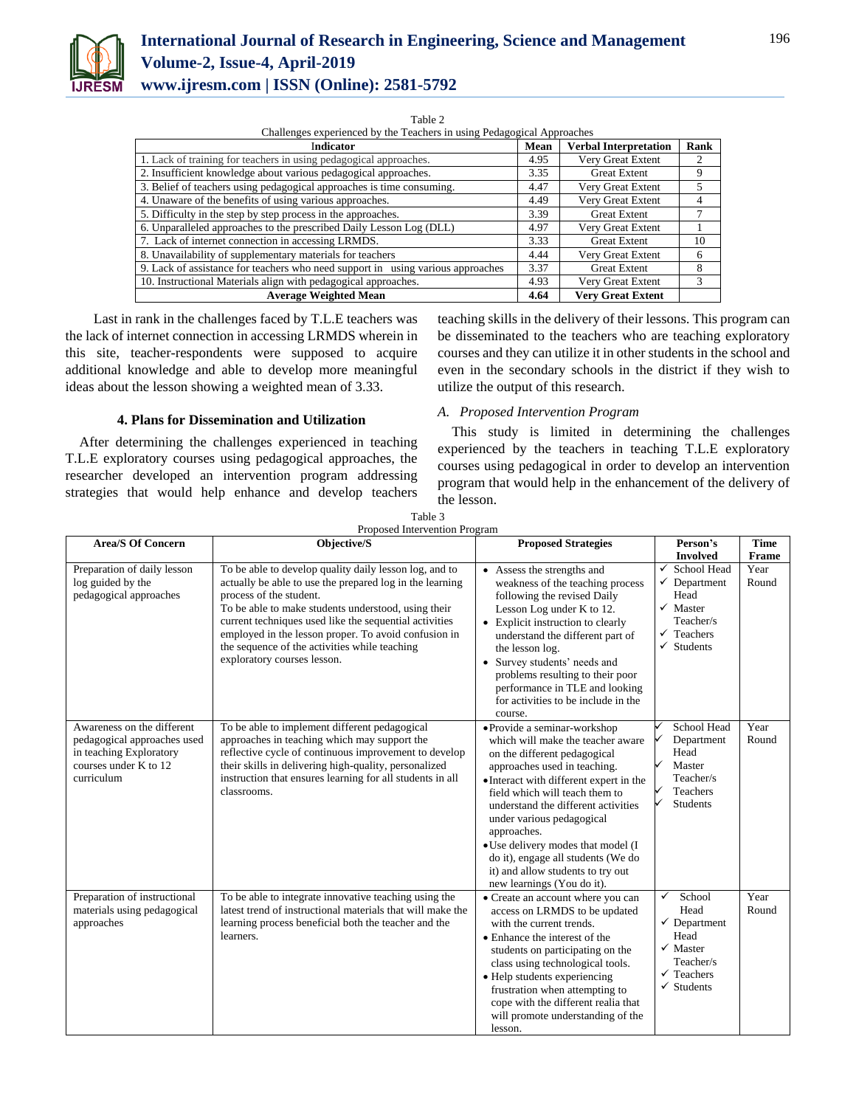

Challenges experienced by the Teachers in using Pedagogical Approaches

| Indicator                                                                       | Mean | <b>Verbal Interpretation</b> | Rank |
|---------------------------------------------------------------------------------|------|------------------------------|------|
| 1. Lack of training for teachers in using pedagogical approaches.               | 4.95 | Very Great Extent            |      |
| 2. Insufficient knowledge about various pedagogical approaches.                 | 3.35 | <b>Great Extent</b>          | 9    |
| 3. Belief of teachers using pedagogical approaches is time consuming.           | 4.47 | Very Great Extent            |      |
| 4. Unaware of the benefits of using various approaches.                         | 4.49 | Very Great Extent            | 4    |
| 5. Difficulty in the step by step process in the approaches.                    | 3.39 | <b>Great Extent</b>          |      |
| 6. Unparalleled approaches to the prescribed Daily Lesson Log (DLL)             | 4.97 | Very Great Extent            |      |
| 7. Lack of internet connection in accessing LRMDS.                              | 3.33 | <b>Great Extent</b>          | 10   |
| 8. Unavailability of supplementary materials for teachers                       | 4.44 | Very Great Extent            | 6    |
| 9. Lack of assistance for teachers who need support in using various approaches | 3.37 | <b>Great Extent</b>          | 8    |
| 10. Instructional Materials align with pedagogical approaches.                  | 4.93 | Very Great Extent            | 3    |
| <b>Average Weighted Mean</b>                                                    | 4.64 | <b>Very Great Extent</b>     |      |

Last in rank in the challenges faced by T.L.E teachers was the lack of internet connection in accessing LRMDS wherein in this site, teacher-respondents were supposed to acquire additional knowledge and able to develop more meaningful ideas about the lesson showing a weighted mean of 3.33.

# **4. Plans for Dissemination and Utilization**

After determining the challenges experienced in teaching T.L.E exploratory courses using pedagogical approaches, the researcher developed an intervention program addressing strategies that would help enhance and develop teachers teaching skills in the delivery of their lessons. This program can be disseminated to the teachers who are teaching exploratory courses and they can utilize it in other students in the school and even in the secondary schools in the district if they wish to utilize the output of this research.

### *A. Proposed Intervention Program*

This study is limited in determining the challenges experienced by the teachers in teaching T.L.E exploratory courses using pedagogical in order to develop an intervention program that would help in the enhancement of the delivery of the lesson.

| Proposed Intervention Program                                                                                               |                                                                                                                                                                                                                                                                                                                                                                                                        |                                                                                                                                                                                                                                                                                                                                                                                                                                                  |                                                                                                                                              |                      |  |  |
|-----------------------------------------------------------------------------------------------------------------------------|--------------------------------------------------------------------------------------------------------------------------------------------------------------------------------------------------------------------------------------------------------------------------------------------------------------------------------------------------------------------------------------------------------|--------------------------------------------------------------------------------------------------------------------------------------------------------------------------------------------------------------------------------------------------------------------------------------------------------------------------------------------------------------------------------------------------------------------------------------------------|----------------------------------------------------------------------------------------------------------------------------------------------|----------------------|--|--|
| <b>Area/S Of Concern</b>                                                                                                    | Objective/S                                                                                                                                                                                                                                                                                                                                                                                            | <b>Proposed Strategies</b>                                                                                                                                                                                                                                                                                                                                                                                                                       | Person's<br><b>Involved</b>                                                                                                                  | <b>Time</b><br>Frame |  |  |
| Preparation of daily lesson<br>log guided by the<br>pedagogical approaches                                                  | To be able to develop quality daily lesson log, and to<br>actually be able to use the prepared log in the learning<br>process of the student.<br>To be able to make students understood, using their<br>current techniques used like the sequential activities<br>employed in the lesson proper. To avoid confusion in<br>the sequence of the activities while teaching<br>exploratory courses lesson. | • Assess the strengths and<br>weakness of the teaching process<br>following the revised Daily<br>Lesson Log under K to 12.<br>• Explicit instruction to clearly<br>understand the different part of<br>the lesson log.<br>• Survey students' needs and<br>problems resulting to their poor<br>performance in TLE and looking<br>for activities to be include in the<br>course.                                                                   | $\checkmark$<br>School Head<br>✓<br>Department<br>Head<br>✓<br>Master<br>Teacher/s<br>✓<br>Teachers<br><b>Students</b><br>✓                  | Year<br>Round        |  |  |
| Awareness on the different<br>pedagogical approaches used<br>in teaching Exploratory<br>courses under K to 12<br>curriculum | To be able to implement different pedagogical<br>approaches in teaching which may support the<br>reflective cycle of continuous improvement to develop<br>their skills in delivering high-quality, personalized<br>instruction that ensures learning for all students in all<br>classrooms.                                                                                                            | · Provide a seminar-workshop<br>which will make the teacher aware<br>on the different pedagogical<br>approaches used in teaching.<br>• Interact with different expert in the<br>field which will teach them to<br>understand the different activities<br>under various pedagogical<br>approaches.<br>• Use delivery modes that model (I<br>do it), engage all students (We do<br>it) and allow students to try out<br>new learnings (You do it). | School Head<br>Department<br>Head<br>Master<br>Teacher/s<br>Teachers<br><b>Students</b>                                                      | Year<br>Round        |  |  |
| Preparation of instructional<br>materials using pedagogical<br>approaches                                                   | To be able to integrate innovative teaching using the<br>latest trend of instructional materials that will make the<br>learning process beneficial both the teacher and the<br>learners.                                                                                                                                                                                                               | • Create an account where you can<br>access on LRMDS to be updated<br>with the current trends.<br>• Enhance the interest of the<br>students on participating on the<br>class using technological tools.<br>• Help students experiencing<br>frustration when attempting to<br>cope with the different realia that<br>will promote understanding of the<br>lesson.                                                                                 | School<br>✓<br>Head<br>$\checkmark$ Department<br>Head<br>$\checkmark$ Master<br>Teacher/s<br>$\checkmark$ Teachers<br>$\checkmark$ Students | Year<br>Round        |  |  |

Table 3